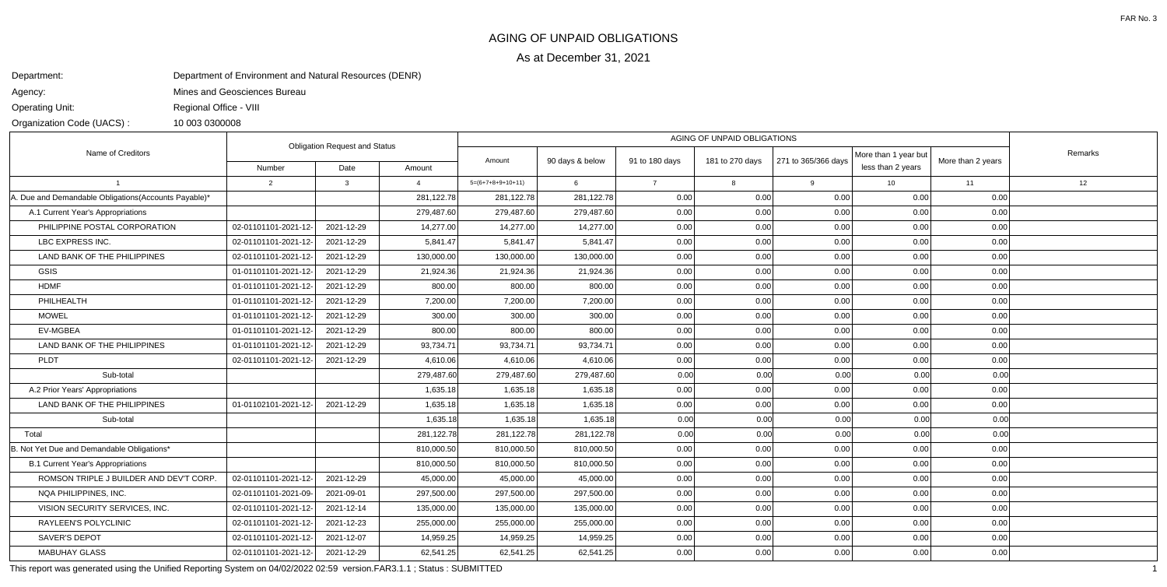As at December 31, 2021

## AGING OF UNPAID OBLIGATIONS

Department:

Agency:

Operating Unit:

Organization Code (UACS) :

Mines and Geosciences Bureau

Regional Office - VIII

10 003 0300008

Department of Environment and Natural Resources (DENR)

This report was generated using the Unified Reporting System on 04/02/2022 02:59 version.FAR3.1.1 ; Status : SUBMITTED $\overline{D}$ 

| Name of Creditors                                    | <b>Obligation Request and Status</b> |            |            |                     |                 |                                   |      |                     |                                           |                   |         |
|------------------------------------------------------|--------------------------------------|------------|------------|---------------------|-----------------|-----------------------------------|------|---------------------|-------------------------------------------|-------------------|---------|
|                                                      | Number                               | Date       | Amount     | Amount              | 90 days & below | 91 to 180 days<br>181 to 270 days |      | 271 to 365/366 days | More than 1 year but<br>less than 2 years | More than 2 years | Remarks |
|                                                      | 2                                    | 3          |            | $5=(6+7+8+9+10+11)$ | 6               | $\overline{7}$                    | 8    | 9                   | 10                                        | 11                | 12      |
| A. Due and Demandable Obligations(Accounts Payable)* |                                      |            | 281,122.78 | 281,122.78          | 281,122.78      | 0.00                              | 0.00 | 0.00                | 0.00                                      | 0.00              |         |
| A.1 Current Year's Appropriations                    |                                      |            | 279,487.60 | 279,487.60          | 279,487.60      | 0.00                              | 0.00 | 0.00                | 0.00                                      | 0.00              |         |
| PHILIPPINE POSTAL CORPORATION                        | 02-01101101-2021-12-                 | 2021-12-29 | 14,277.00  | 14,277.00           | 14,277.00       | 0.00                              | 0.00 | 0.00                | 0.00                                      | 0.00              |         |
| LBC EXPRESS INC.                                     | 02-01101101-2021-12-                 | 2021-12-29 | 5,841.47   | 5,841.47            | 5,841.47        | 0.00                              | 0.00 | 0.00                | 0.00                                      | 0.00              |         |
| LAND BANK OF THE PHILIPPINES                         | 02-01101101-2021-12-                 | 2021-12-29 | 130,000.00 | 130,000.00          | 130,000.00      | 0.00                              | 0.00 | 0.00                | 0.00                                      | 0.00              |         |
| <b>GSIS</b>                                          | 01-01101101-2021-12-                 | 2021-12-29 | 21,924.36  | 21,924.36           | 21,924.36       | 0.00                              | 0.00 | 0.00                | 0.00                                      | 0.00              |         |
| <b>HDMF</b>                                          | 01-01101101-2021-12-                 | 2021-12-29 | 800.00     | 800.00              | 800.00          | 0.00                              | 0.00 | 0.00                | 0.00                                      | 0.00              |         |
| PHILHEALTH                                           | 01-01101101-2021-12-                 | 2021-12-29 | 7,200.00   | 7,200.00            | 7,200.00        | 0.00                              | 0.00 | 0.00                | 0.00                                      | 0.00              |         |
| <b>MOWEL</b>                                         | 01-01101101-2021-12-                 | 2021-12-29 | 300.00     | 300.00              | 300.00          | 0.00                              | 0.00 | 0.00                | 0.00                                      | 0.00              |         |
| <b>EV-MGBEA</b>                                      | 01-01101101-2021-12-                 | 2021-12-29 | 800.00     | 800.00              | 800.00          | 0.00                              | 0.00 | 0.00                | 0.00                                      | 0.00              |         |
| LAND BANK OF THE PHILIPPINES                         | 01-01101101-2021-12-                 | 2021-12-29 | 93,734.71  | 93,734.71           | 93,734.71       | 0.00                              | 0.00 | 0.00                | 0.00                                      | 0.00              |         |
| PLDT                                                 | 02-01101101-2021-12-                 | 2021-12-29 | 4,610.06   | 4,610.06            | 4,610.06        | 0.00                              | 0.00 | 0.00                | 0.00                                      | 0.00              |         |
| Sub-total                                            |                                      |            | 279,487.60 | 279,487.60          | 279,487.60      | 0.00                              | 0.00 | 0.00                | 0.00                                      | 0.00              |         |
| A.2 Prior Years' Appropriations                      |                                      |            | 1,635.18   | 1,635.18            | 1,635.18        | 0.00                              | 0.00 | 0.00                | 0.00                                      | 0.00              |         |
| LAND BANK OF THE PHILIPPINES                         | 01-01102101-2021-12-                 | 2021-12-29 | 1,635.18   | 1,635.18            | 1,635.18        | 0.00                              | 0.00 | 0.00                | 0.00                                      | 0.00              |         |
| Sub-total                                            |                                      |            | 1,635.18   | 1,635.18            | 1,635.18        | 0.00                              | 0.00 | 0.00                | 0.00                                      | 0.00              |         |
| Total                                                |                                      |            | 281,122.78 | 281,122.78          | 281,122.78      | 0.00                              | 0.00 | 0.00                | 0.00                                      | 0.00              |         |
| B. Not Yet Due and Demandable Obligations*           |                                      |            | 810,000.50 | 810,000.50          | 810,000.50      | 0.00                              | 0.00 | 0.00                | 0.00                                      | 0.00              |         |
| <b>B.1 Current Year's Appropriations</b>             |                                      |            | 810,000.50 | 810,000.50          | 810,000.50      | 0.00                              | 0.00 | 0.00                | 0.00                                      | 0.00              |         |
| ROMSON TRIPLE J BUILDER AND DEV'T CORP               | 02-01101101-2021-12-                 | 2021-12-29 | 45,000.00  | 45,000.00           | 45,000.00       | 0.00                              | 0.00 | 0.00                | 0.00                                      | 0.00              |         |
| NQA PHILIPPINES, INC.                                | 02-01101101-2021-09-                 | 2021-09-01 | 297,500.00 | 297,500.00          | 297,500.00      | 0.00                              | 0.00 | 0.00                | 0.00                                      | 0.00              |         |
| VISION SECURITY SERVICES. INC.                       | 02-01101101-2021-12-                 | 2021-12-14 | 135,000.00 | 135,000.00          | 135,000.00      | 0.00                              | 0.00 | 0.00                | 0.00                                      | 0.00              |         |
| RAYLEEN'S POLYCLINIC                                 | 02-01101101-2021-12-                 | 2021-12-23 | 255,000.00 | 255,000.00          | 255,000.00      | 0.00                              | 0.00 | 0.00                | 0.00                                      | 0.00              |         |
| <b>SAVER'S DEPOT</b>                                 | 02-01101101-2021-12-                 | 2021-12-07 | 14,959.25  | 14,959.25           | 14,959.25       | 0.00                              | 0.00 | 0.00                | 0.00                                      | 0.00              |         |
| <b>MABUHAY GLASS</b>                                 | 02-01101101-2021-12-                 | 2021-12-29 | 62,541.25  | 62,541.25           | 62,541.25       | 0.00                              | 0.00 | 0.00                | 0.00                                      | 0.00              |         |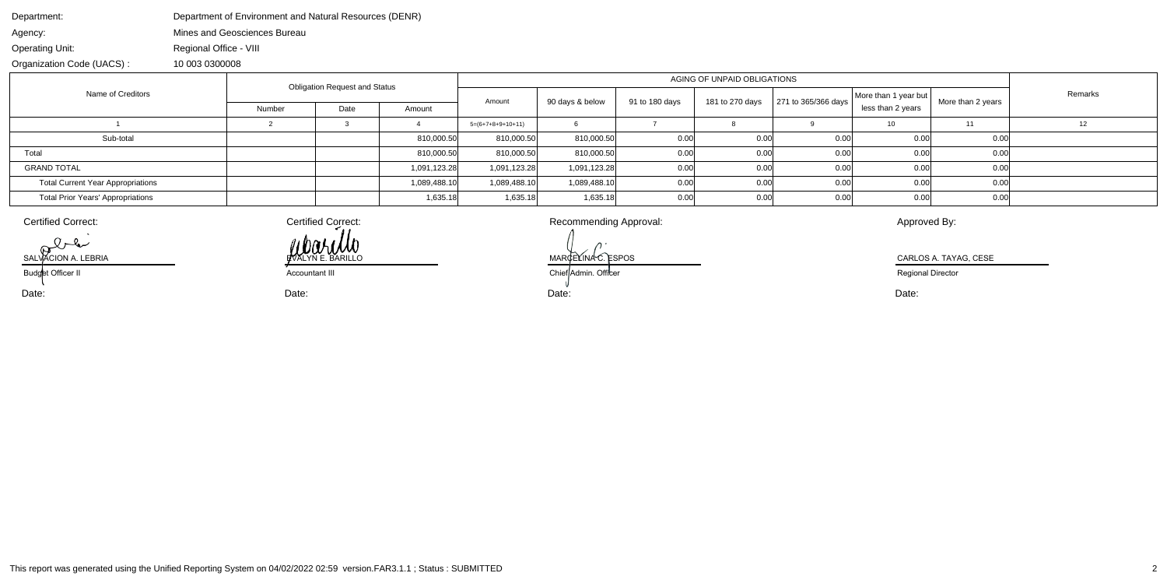| Department:                              | Department of Environment and Natural Resources (DENR) |                                      |      |              |                     |                             |                |                 |                     |                      |                   |         |  |
|------------------------------------------|--------------------------------------------------------|--------------------------------------|------|--------------|---------------------|-----------------------------|----------------|-----------------|---------------------|----------------------|-------------------|---------|--|
| Agency:                                  | Mines and Geosciences Bureau                           |                                      |      |              |                     |                             |                |                 |                     |                      |                   |         |  |
| <b>Operating Unit:</b>                   | Regional Office - VIII                                 |                                      |      |              |                     |                             |                |                 |                     |                      |                   |         |  |
| Organization Code (UACS):                | 10 003 0300008                                         |                                      |      |              |                     |                             |                |                 |                     |                      |                   |         |  |
| Name of Creditors                        |                                                        | <b>Obligation Request and Status</b> |      |              |                     | AGING OF UNPAID OBLIGATIONS |                |                 |                     |                      |                   |         |  |
|                                          |                                                        |                                      |      |              | Amount              | 90 days & below             | 91 to 180 days | 181 to 270 days | 271 to 365/366 days | More than 1 year but | More than 2 years | Remarks |  |
|                                          | Number                                                 |                                      | Date | Amount       |                     |                             |                |                 | less than 2 years   |                      |                   |         |  |
|                                          |                                                        |                                      |      |              | $5=(6+7+8+9+10+11)$ |                             |                |                 |                     | 10                   | 11                |         |  |
| Sub-total                                |                                                        |                                      |      | 810,000.50   | 810,000.50          | 810,000.50                  | 0.00           | 0.00            | 0.00                | 0.00                 | 0.00              |         |  |
| Total                                    |                                                        |                                      |      | 810,000.50   | 810,000.50          | 810,000.50                  | 0.00           | 0.00            | 0.00                | 0.00                 | 0.00              |         |  |
| <b>GRAND TOTAL</b>                       |                                                        |                                      |      | 1,091,123.28 | 1,091,123.28        | 1,091,123.28                | 0.00           | 0.00            | 0.00                | 0.00                 | 0.00              |         |  |
| <b>Total Current Year Appropriations</b> |                                                        |                                      |      | 1,089,488.10 | 1,089,488.10        | 1,089,488.10                | 0.00           | 0.00            | 0.00                | 0.00                 | 0.00              |         |  |
| <b>Total Prior Years' Appropriations</b> |                                                        |                                      |      | 1,635.18     | 1,635.18            | 1,635.18                    | 0.00           | 0.00            | 0.00                | 0.00                 | 0.00              |         |  |

Date:SALVACION A. LEBRIA Budget Officer II

Certified Correct: a commending Approval: Recommending Approval: Approved By: WOOLING

 Date: Date: Date: MARGELINA C. ESPOS CARLOS A. TAYAG, CESE **Accountant III** Chief Admin. Officer

Certified Correct:

Regional Director